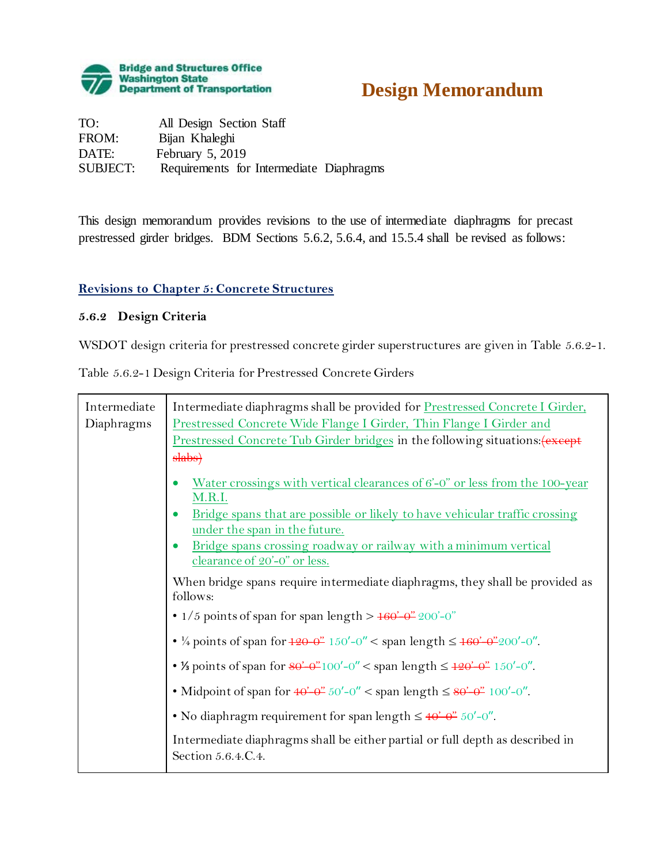

# **Design Memorandum**

| TO:             | All Design Section Staff                 |
|-----------------|------------------------------------------|
| FROM:           | Bijan Khaleghi                           |
| DATE:           | February $5, 2019$                       |
| <b>SUBJECT:</b> | Requirements for Intermediate Diaphragms |

This design memorandum provides revisions to the use of intermediate diaphragms for precast prestressed girder bridges. BDM Sections 5.6.2, 5.6.4, and 15.5.4 shall be revised as follows:

#### **Revisions to Chapter 5: Concrete Structures**

#### **5.6.2 Design Criteria**

WSDOT design criteria for prestressed concrete girder superstructures are given in Table 5.6.2-1.

Table 5.6.2-1 Design Criteria for Prestressed Concrete Girders

| Intermediate | Intermediate diaphragms shall be provided for Prestressed Concrete I Girder,                                                                            |
|--------------|---------------------------------------------------------------------------------------------------------------------------------------------------------|
| Diaphragms   | Prestressed Concrete Wide Flange I Girder, Thin Flange I Girder and<br>Prestressed Concrete Tub Girder bridges in the following situations: (except     |
|              | slabs)                                                                                                                                                  |
|              | Water crossings with vertical clearances of $6'-0''$ or less from the 100-year                                                                          |
|              | M.R.I.<br>Bridge spans that are possible or likely to have vehicular traffic crossing<br>under the span in the future.                                  |
|              | Bridge spans crossing roadway or railway with a minimum vertical<br>clearance of 20'-0" or less.                                                        |
|              | When bridge spans require intermediate diaphragms, they shall be provided as<br>follows:                                                                |
|              | • $1/5$ points of span for span length > $160 - 200 - 0$ "                                                                                              |
|              | • ¼ points of span for $\frac{120-0"}{150'-0}$ < span length $\leq \frac{160-0"}{200'-0}$ .                                                             |
|              | • <i>1</i> / <sub>2</sub> points of span for $80^{\circ}$ - $0^{\prime\prime}$ 100'-0" < span length $\leq 120^{\circ}$ - $0^{\prime\prime}$ . 150'-0". |
|              | • Midpoint of span for $40 - 67$ 50'-0" < span length $\leq 80 - 67$ 100'-0".                                                                           |
|              | • No diaphragm requirement for span length $\leq 40^{\circ} - 0^{\prime\prime}$ .                                                                       |
|              | Intermediate diaphragms shall be either partial or full depth as described in<br>Section 5.6.4.C.4.                                                     |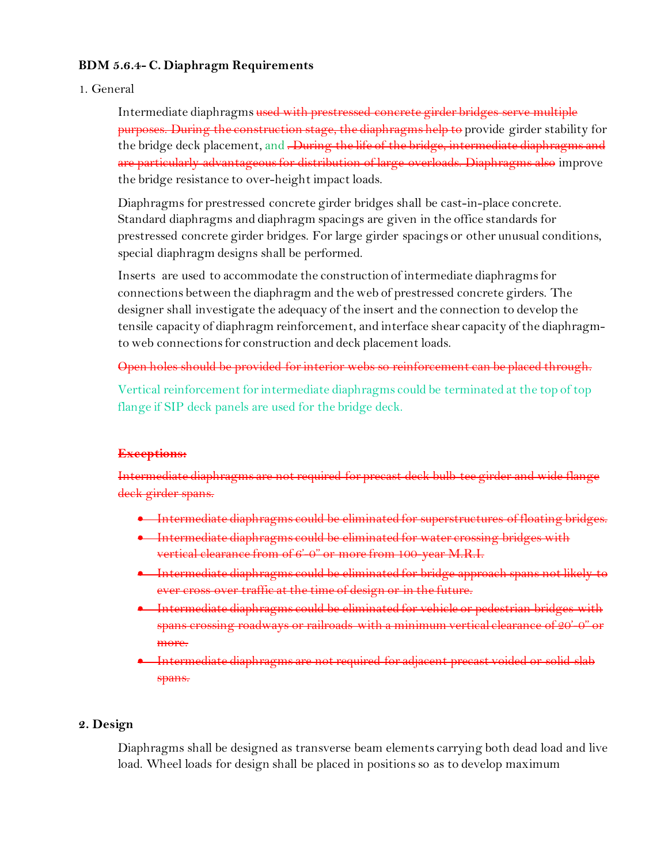#### **BDM 5.6.4- C. Diaphragm Requirements**

#### 1. General

Intermediate diaphragms used with prestressed concrete girder bridges serve multiple purposes. During the construction stage, the diaphragms help to provide girder stability for the bridge deck placement, and . During the life of the bridge, intermediate diaphragms and are particularly advantageous for distribution of large overloads. Diaphragms also improve the bridge resistance to over-height impact loads.

Diaphragms for prestressed concrete girder bridges shall be cast-in-place concrete. Standard diaphragms and diaphragm spacings are given in the office standards for prestressed concrete girder bridges. For large girder spacings or other unusual conditions, special diaphragm designs shall be performed.

Inserts are used to accommodate the construction of intermediate diaphragms for connections between the diaphragm and the web of prestressed concrete girders. The designer shall investigate the adequacy of the insert and the connection to develop the tensile capacity of diaphragm reinforcement, and interface shear capacity of the diaphragmto web connections for construction and deck placement loads.

#### Open holes should be provided for interior webs so reinforcement can be placed through.

Vertical reinforcement for intermediate diaphragms could be terminated at the top of top flange if SIP deck panels are used for the bridge deck.

#### **Exceptions:**

diaphragms are not required deek girder spans.

- Intermediate diaphragms could be eliminated for superstructures of floating
- Intermediate diaphragms could be eliminated for water crossing bridges vertical clearance from of 6'-0" or more from 100-year M.R.I.
- Intermediate diaphragms could be eliminated for bridge approach spans not likely to ever cross over traffic at the time of design or in the future.
- Intermediate diaphragms could be eliminated for vehicle or pedestrian bridges with spans crossing roadways or railroads with a minimum vertical clearance of 20'-0" or more.
- Intermediate diaphragms are not required for adjacent precast voided or solid slab spans.

#### **2. Design**

Diaphragms shall be designed as transverse beam elements carrying both dead load and live load. Wheel loads for design shall be placed in positions so as to develop maximum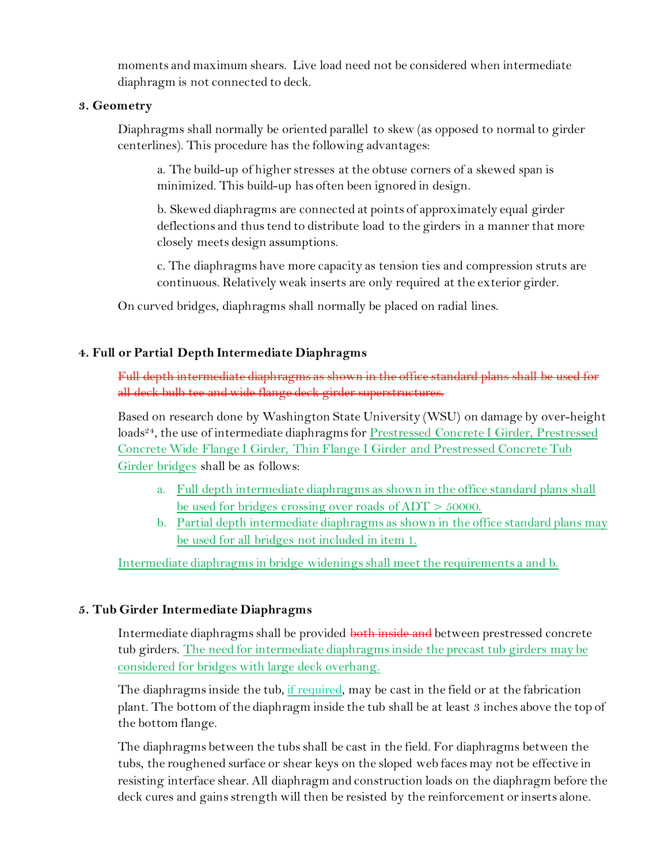moments and maximum shears. Live load need not be considered when intermediate diaphragm is not connected to deck.

#### **3. Geometry**

Diaphragms shall normally be oriented parallel to skew (as opposed to normal to girder centerlines). This procedure has the following advantages:

a. The build-up of higher stresses at the obtuse corners of a skewed span is minimized. This build-up has often been ignored in design.

b. Skewed diaphragms are connected at points of approximately equal girder deflections and thus tend to distribute load to the girders in a manner that more closely meets design assumptions.

c. The diaphragms have more capacity as tension ties and compression struts are continuous. Relatively weak inserts are only required at the exterior girder.

On curved bridges, diaphragms shall normally be placed on radial lines.

## **4. Full or Partial Depth Intermediate Diaphragms**

Full depth intermediate diaphragms as shown in the office standard plans shall be used for all deck bulb tee and wide flange deck girder superstructures.

Based on research done by Washington State University (WSU) on damage by over-height loads<sup>24</sup>, the use of intermediate diaphragms for Prestressed Concrete I Girder, Prestressed Concrete Wide Flange I Girder, Thin Flange I Girder and Prestressed Concrete Tub Girder bridges shall be as follows:

- a. Full depth intermediate diaphragms as shown in the office standard plans shall be used for bridges crossing over roads of ADT > 50000.
- b. Partial depth intermediate diaphragms as shown in the office standard plans may be used for all bridges not included in item 1.

Intermediate diaphragms in bridge widenings shall meet the requirements a and b.

## **5. Tub Girder Intermediate Diaphragms**

Intermediate diaphragms shall be provided both inside and between prestressed concrete tub girders. The need for intermediate diaphragms inside the precast tub girders may be considered for bridges with large deck overhang.

The diaphragms inside the tub, if required, may be cast in the field or at the fabrication plant. The bottom of the diaphragm inside the tub shall be at least 3 inches above the top of the bottom flange.

The diaphragms between the tubs shall be cast in the field. For diaphragms between the tubs, the roughened surface or shear keys on the sloped web faces may not be effective in resisting interface shear. All diaphragm and construction loads on the diaphragm before the deck cures and gains strength will then be resisted by the reinforcement or inserts alone.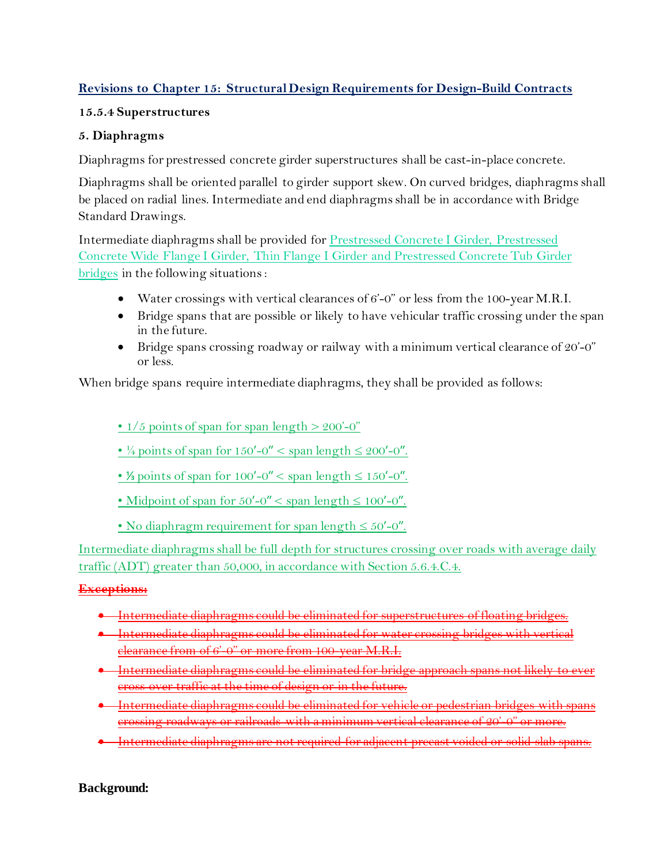## **Revisions to Chapter 15: Structural Design Requirements for Design-Build Contracts**

## **15.5.4 Superstructures**

## **5. Diaphragms**

Diaphragms for prestressed concrete girder superstructures shall be cast-in-place concrete.

Diaphragms shall be oriented parallel to girder support skew. On curved bridges, diaphragms shall be placed on radial lines. Intermediate and end diaphragms shall be in accordance with Bridge Standard Drawings.

Intermediate diaphragms shall be provided for Prestressed Concrete I Girder, Prestressed Concrete Wide Flange I Girder, Thin Flange I Girder and Prestressed Concrete Tub Girder bridges in the following situations :

- Water crossings with vertical clearances of 6'-0" or less from the 100-year M.R.I.
- Bridge spans that are possible or likely to have vehicular traffic crossing under the span in the future.
- Bridge spans crossing roadway or railway with a minimum vertical clearance of 20'-0" or less.

When bridge spans require intermediate diaphragms, they shall be provided as follows:

- $1/5$  points of span for span length >  $200$ '-0"
- $\frac{1}{4}$  points of span for 150'-0" < span length  $\leq 200'$ -0".
- ¼ points of span for  $100'-0'' <$  span length  $\leq 150'-0''$ .
- Midpoint of span for  $50'-0'' <$  span length  $\leq 100'-0''$ .
- No diaphragm requirement for span length  $\leq 50'$ -0".

Intermediate diaphragms shall be full depth for structures crossing over roads with average daily traffic (ADT) greater than 50,000, in accordance with Section 5.6.4.C.4.

## **Exceptions:**

- Intermediate diaphragms could be eliminated for superstructures of floating bridges.
- $\bullet$  Intermediate diaphragms could be eliminated for water crossing bridges with clearance from of 6'-0" or more from 100-year M.R.I.
- $\rightarrow$  Intermediate diaphragms could be eliminated for bridge approach spans not lil cross over traffic at the time of design or in the future.
- Intermediate diaphragms could be eliminated for vehicle or pedestrian bridges with spans crossing roadways or railroads with a minimum vertical clearance of 20'-0" or more.
- Intermediate diaphragms are not required for adjacent precast voided or solid slab

**Background:**